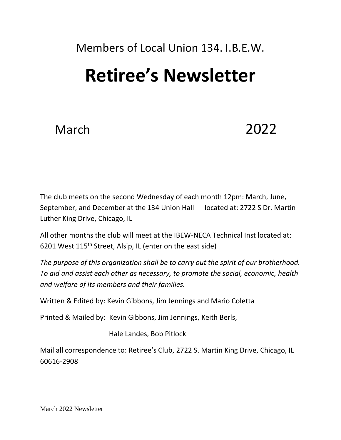# Members of Local Union 134. I.B.E.W.

# **Retiree's Newsletter**

# March 2022

The club meets on the second Wednesday of each month 12pm: March, June, September, and December at the 134 Union Hall located at: 2722 S Dr. Martin Luther King Drive, Chicago, IL

All other months the club will meet at the IBEW-NECA Technical Inst located at: 6201 West 115th Street, Alsip, IL (enter on the east side)

*The purpose of this organization shall be to carry out the spirit of our brotherhood. To aid and assist each other as necessary, to promote the social, economic, health and welfare of its members and their families.*

Written & Edited by: Kevin Gibbons, Jim Jennings and Mario Coletta

Printed & Mailed by: Kevin Gibbons, Jim Jennings, Keith Berls,

Hale Landes, Bob Pitlock

Mail all correspondence to: Retiree's Club, 2722 S. Martin King Drive, Chicago, IL 60616-2908

March 2022 Newsletter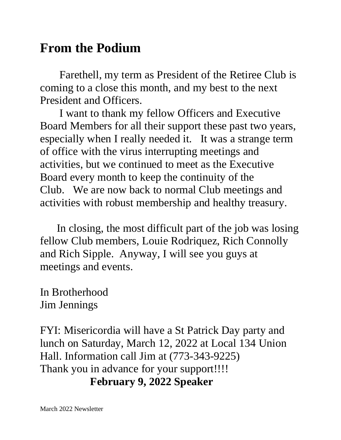## **From the Podium**

Farethell, my term as President of the Retiree Club is coming to a close this month, and my best to the next President and Officers.

 I want to thank my fellow Officers and Executive Board Members for all their support these past two years, especially when I really needed it. It was a strange term of office with the virus interrupting meetings and activities, but we continued to meet as the Executive Board every month to keep the continuity of the Club. We are now back to normal Club meetings and activities with robust membership and healthy treasury.

 In closing, the most difficult part of the job was losing fellow Club members, Louie Rodriquez, Rich Connolly and Rich Sipple. Anyway, I will see you guys at meetings and events.

In Brotherhood Jim Jennings

FYI: Misericordia will have a St Patrick Day party and lunch on Saturday, March 12, 2022 at Local 134 Union Hall. Information call Jim at (773-343-9225) Thank you in advance for your support!!!!  **February 9, 2022 Speaker**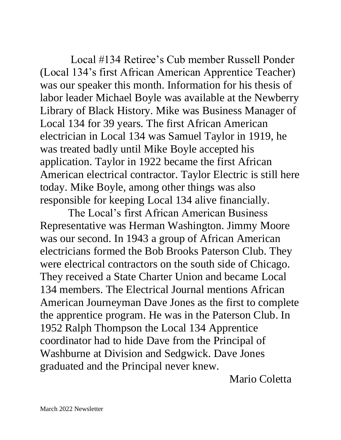Local #134 Retiree's Cub member Russell Ponder (Local 134's first African American Apprentice Teacher) was our speaker this month. Information for his thesis of labor leader Michael Boyle was available at the Newberry Library of Black History. Mike was Business Manager of Local 134 for 39 years. The first African American electrician in Local 134 was Samuel Taylor in 1919, he was treated badly until Mike Boyle accepted his application. Taylor in 1922 became the first African American electrical contractor. Taylor Electric is still here today. Mike Boyle, among other things was also responsible for keeping Local 134 alive financially.

 The Local's first African American Business Representative was Herman Washington. Jimmy Moore was our second. In 1943 a group of African American electricians formed the Bob Brooks Paterson Club. They were electrical contractors on the south side of Chicago. They received a State Charter Union and became Local 134 members. The Electrical Journal mentions African American Journeyman Dave Jones as the first to complete the apprentice program. He was in the Paterson Club. In 1952 Ralph Thompson the Local 134 Apprentice coordinator had to hide Dave from the Principal of Washburne at Division and Sedgwick. Dave Jones graduated and the Principal never knew.

Mario Coletta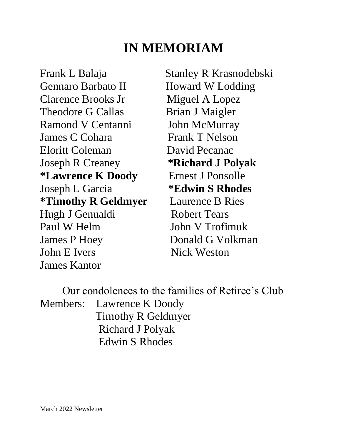### **IN MEMORIAM**

Frank L Balaja Stanley R Krasnodebski Gennaro Barbato II Howard W Lodding Clarence Brooks Jr Miguel A Lopez Theodore G Callas Brian J Maigler Ramond V Centanni John McMurray James C Cohara Frank T Nelson Eloritt Coleman David Pecanac Joseph R Creaney **\*Richard J Polyak \*Lawrence K Doody** Ernest J Ponsolle Joseph L Garcia **\*Edwin S Rhodes \*Timothy R Geldmyer** Laurence B Ries Hugh J Genualdi Robert Tears Paul W Helm John V Trofimuk James P Hoey Donald G Volkman John E Ivers Nick Weston James Kantor

 Our condolences to the families of Retiree's Club Members: Lawrence K Doody Timothy R Geldmyer Richard J Polyak Edwin S Rhodes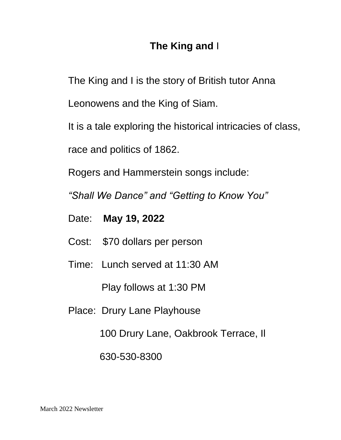#### **The King and** I

The King and I is the story of British tutor Anna

Leonowens and the King of Siam.

It is a tale exploring the historical intricacies of class,

race and politics of 1862.

Rogers and Hammerstein songs include:

*"Shall We Dance" and "Getting to Know You"*

- Date: **May 19, 2022**
- Cost: \$70 dollars per person
- Time: Lunch served at 11:30 AM

Play follows at 1:30 PM

Place: Drury Lane Playhouse

100 Drury Lane, Oakbrook Terrace, Il

630-530-8300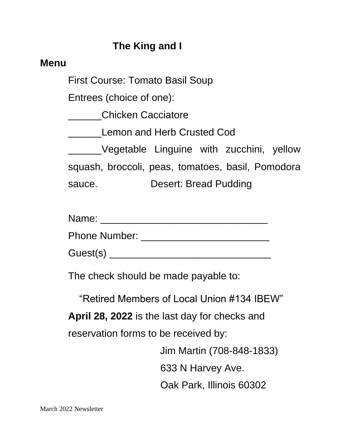#### **The King and I**

#### **Menu**

First Course: Tomato Basil Soup

Entrees (choice of one):

\_\_\_\_\_\_Chicken Cacciatore

Lemon and Herb Crusted Cod

\_\_\_\_\_\_Vegetable Linguine with zucchini, yellow squash, broccoli, peas, tomatoes, basil, Pomodora sauce. Desert: Bread Pudding

| Name: |  |
|-------|--|
|       |  |

Phone Number: \_\_\_\_\_\_\_\_\_\_\_\_\_\_\_\_\_\_\_\_\_\_\_

Guest(s) \_\_\_\_\_\_\_\_\_\_\_\_\_\_\_\_\_\_\_\_\_\_\_\_\_\_\_\_\_

The check should be made payable to:

"Retired Members of Local Union #134 IBEW"

**April 28, 2022** is the last day for checks and reservation forms to be received by:

Jim Martin (708-848-1833)

633 N Harvey Ave.

Oak Park, Illinois 60302